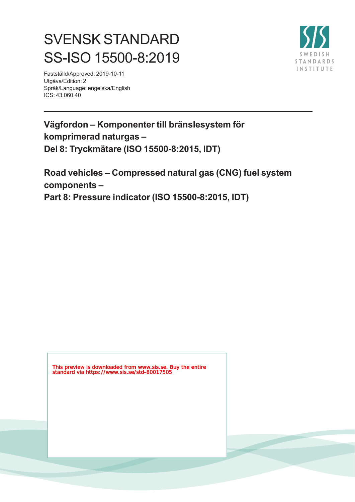# SVENSK STANDARD SS-ISO 15500-8:2019



Fastställd/Approved: 2019-10-11 Utgåva/Edition: 2 Språk/Language: engelska/English ICS: 43.060.40

**Vägfordon – Komponenter till bränslesystem för komprimerad naturgas – Del 8: Tryckmätare (ISO 15500‑8:2015, IDT)**

**Road vehicles – Compressed natural gas (CNG) fuel system components – Part 8: Pressure indicator (ISO 15500‑8:2015, IDT)**

This preview is downloaded from www.sis.se. Buy the entire standard via https://www.sis.se/std-80017505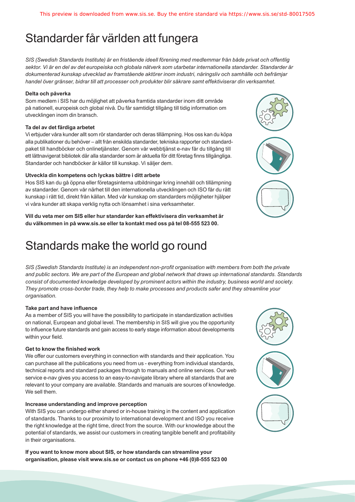# Standarder får världen att fungera

*SIS (Swedish Standards Institute) är en fristående ideell förening med medlemmar från både privat och offentlig sektor. Vi är en del av det europeiska och globala nätverk som utarbetar internationella standarder. Standarder är dokumenterad kunskap utvecklad av framstående aktörer inom industri, näringsliv och samhälle och befrämjar handel över gränser, bidrar till att processer och produkter blir säkrare samt effektiviserar din verksamhet.* 

#### **Delta och påverka**

Som medlem i SIS har du möjlighet att påverka framtida standarder inom ditt område på nationell, europeisk och global nivå. Du får samtidigt tillgång till tidig information om utvecklingen inom din bransch.

#### **Ta del av det färdiga arbetet**

Vi erbjuder våra kunder allt som rör standarder och deras tillämpning. Hos oss kan du köpa alla publikationer du behöver – allt från enskilda standarder, tekniska rapporter och standardpaket till handböcker och onlinetjänster. Genom vår webbtjänst e-nav får du tillgång till ett lättnavigerat bibliotek där alla standarder som är aktuella för ditt företag finns tillgängliga. Standarder och handböcker är källor till kunskap. Vi säljer dem.

#### **Utveckla din kompetens och lyckas bättre i ditt arbete**

Hos SIS kan du gå öppna eller företagsinterna utbildningar kring innehåll och tillämpning av standarder. Genom vår närhet till den internationella utvecklingen och ISO får du rätt kunskap i rätt tid, direkt från källan. Med vår kunskap om standarders möjligheter hjälper vi våra kunder att skapa verklig nytta och lönsamhet i sina verksamheter.

**Vill du veta mer om SIS eller hur standarder kan effektivisera din verksamhet är du välkommen in på www.sis.se eller ta kontakt med oss på tel 08-555 523 00.**

# Standards make the world go round

*SIS (Swedish Standards Institute) is an independent non-profit organisation with members from both the private and public sectors. We are part of the European and global network that draws up international standards. Standards consist of documented knowledge developed by prominent actors within the industry, business world and society. They promote cross-border trade, they help to make processes and products safer and they streamline your organisation.*

#### **Take part and have influence**

As a member of SIS you will have the possibility to participate in standardization activities on national, European and global level. The membership in SIS will give you the opportunity to influence future standards and gain access to early stage information about developments within your field.

#### **Get to know the finished work**

We offer our customers everything in connection with standards and their application. You can purchase all the publications you need from us - everything from individual standards, technical reports and standard packages through to manuals and online services. Our web service e-nav gives you access to an easy-to-navigate library where all standards that are relevant to your company are available. Standards and manuals are sources of knowledge. We sell them.

#### **Increase understanding and improve perception**

With SIS you can undergo either shared or in-house training in the content and application of standards. Thanks to our proximity to international development and ISO you receive the right knowledge at the right time, direct from the source. With our knowledge about the potential of standards, we assist our customers in creating tangible benefit and profitability in their organisations.

**If you want to know more about SIS, or how standards can streamline your organisation, please visit www.sis.se or contact us on phone +46 (0)8-555 523 00**



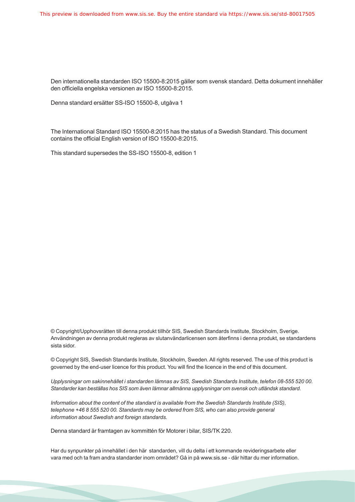Den internationella standarden ISO 15500-8:2015 gäller som svensk standard. Detta dokument innehåller den officiella engelska versionen av ISO 15500-8:2015.

Denna standard ersätter SS-ISO 15500-8, utgåva 1

The International Standard ISO 15500-8:2015 has the status of a Swedish Standard. This document contains the official English version of ISO 15500-8:2015.

This standard supersedes the SS-ISO 15500-8, edition 1

© Copyright/Upphovsrätten till denna produkt tillhör SIS, Swedish Standards Institute, Stockholm, Sverige. Användningen av denna produkt regleras av slutanvändarlicensen som återfinns i denna produkt, se standardens sista sidor.

© Copyright SIS, Swedish Standards Institute, Stockholm, Sweden. All rights reserved. The use of this product is governed by the end-user licence for this product. You will find the licence in the end of this document.

*Upplysningar om sakinnehållet i standarden lämnas av SIS, Swedish Standards Institute, telefon 08-555 520 00. Standarder kan beställas hos SIS som även lämnar allmänna upplysningar om svensk och utländsk standard.*

*Information about the content of the standard is available from the Swedish Standards Institute (SIS), telephone +46 8 555 520 00. Standards may be ordered from SIS, who can also provide general information about Swedish and foreign standards.*

Denna standard är framtagen av kommittén för Motorer i bilar, SIS/TK 220.

Har du synpunkter på innehållet i den här standarden, vill du delta i ett kommande revideringsarbete eller vara med och ta fram andra standarder inom området? Gå in på www.sis.se - där hittar du mer information.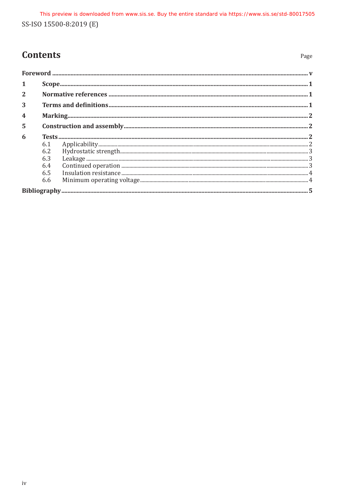# **Contents**

| 3  |     |  |  |
|----|-----|--|--|
|    |     |  |  |
| 5. |     |  |  |
| 6  |     |  |  |
|    | 6.1 |  |  |
|    | 6.2 |  |  |
|    | 6.3 |  |  |
|    | 6.4 |  |  |
|    | 6.5 |  |  |
|    | 6.6 |  |  |
|    |     |  |  |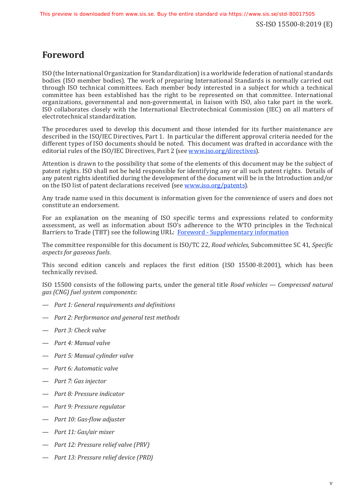# <span id="page-4-0"></span>**Foreword**

ISO (the International Organization for Standardization) is a worldwide federation of national standards bodies (ISO member bodies). The work of preparing International Standards is normally carried out through ISO technical committees. Each member body interested in a subject for which a technical committee has been established has the right to be represented on that committee. International organizations, governmental and non-governmental, in liaison with ISO, also take part in the work. ISO collaborates closely with the International Electrotechnical Commission (IEC) on all matters of electrotechnical standardization.

The procedures used to develop this document and those intended for its further maintenance are described in the ISO/IEC Directives, Part 1. In particular the different approval criteria needed for the different types of ISO documents should be noted. This document was drafted in accordance with the editorial rules of the ISO/IEC Directives, Part 2 (see [www.iso.org/directives\)](http://www.iso.org/directives).

Attention is drawn to the possibility that some of the elements of this document may be the subject of patent rights. ISO shall not be held responsible for identifying any or all such patent rights. Details of any patent rights identified during the development of the document will be in the Introduction and/or on the ISO list of patent declarations received (see [www.iso.org/patents](http://www.iso.org/patents)).

Any trade name used in this document is information given for the convenience of users and does not constitute an endorsement.

For an explanation on the meaning of ISO specific terms and expressions related to conformity assessment, as well as information about ISO's adherence to the WTO principles in the Technical Barriers to Trade (TBT) see the following URL: [Foreword - Supplementary information](http://www.iso.org/iso/home/standards_development/resources-for-technical-work/foreword.htm)

The committee responsible for this document is ISO/TC 22, *Road vehicles*, Subcommittee SC 41, *Specific aspects for gaseous fuels*.

This second edition cancels and replaces the first edition (ISO 15500-8:2001), which has been technically revised.

ISO 15500 consists of the following parts, under the general title *Road vehicles — Compressed natural gas (CNG) fuel system components*:

- *Part 1: General requirements and definitions*
- *Part 2: Performance and general test methods*
- *Part 3: Check valve*
- *Part 4: Manual valve*
- *Part 5: Manual cylinder valve*
- *Part 6: Automatic valve*
- *Part 7: Gas injector*
- *Part 8: Pressure indicator*
- *Part 9: Pressure regulator*
- *Part 10: Gas-flow adjuster*
- *Part 11: Gas/air mixer*
- *Part 12: Pressure relief valve (PRV)*
- *Part 13: Pressure relief device (PRD)*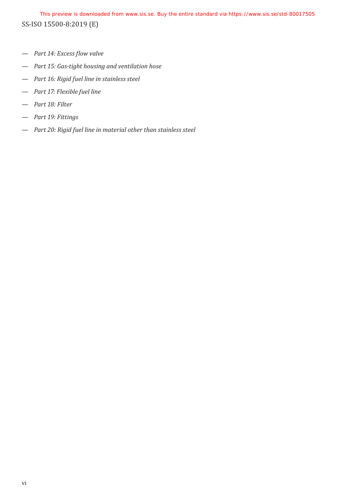SS-ISO 15500-8:2019 (E) This preview is downloaded from www.sis.se. Buy the entire standard via https://www.sis.se/std-80017505

- *Part 14: Excess flow valve*
- *Part 15: Gas-tight housing and ventilation hose*
- *Part 16: Rigid fuel line in stainless steel*
- *Part 17: Flexible fuel line*
- *Part 18: Filter*
- *Part 19: Fittings*
- *Part 20: Rigid fuel line in material other than stainless steel*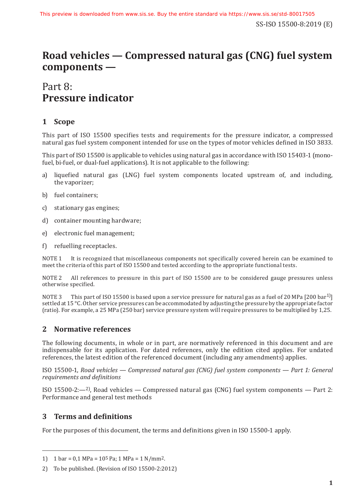# **Road vehicles — Compressed natural gas (CNG) fuel system components —**

# Part 8: **Pressure indicator**

## <span id="page-6-0"></span>**1 Scope**

This part of ISO 15500 specifies tests and requirements for the pressure indicator, a compressed natural gas fuel system component intended for use on the types of motor vehicles defined in ISO 3833.

This part of ISO 15500 is applicable to vehicles using natural gas in accordance with ISO 15403-1 (monofuel, bi-fuel, or dual-fuel applications). It is not applicable to the following:

- a) liquefied natural gas (LNG) fuel system components located upstream of, and including, the vaporizer;
- b) fuel containers;
- c) stationary gas engines;
- d) container mounting hardware;
- e) electronic fuel management;
- f) refuelling receptacles.

NOTE 1 It is recognized that miscellaneous components not specifically covered herein can be examined to meet the criteria of this part of ISO 15500 and tested according to the appropriate functional tests.

NOTE 2 All references to pressure in this part of ISO 15500 are to be considered gauge pressures unless otherwise specified.

NOTE 3 This part of ISO 15500 is based upon a service pressure for natural gas as a fuel of 20 MPa [200 bar<sup>1]</sup>] settled at 15 °C. Other service pressures can be accommodated by adjusting the pressure by the appropriate factor (ratio). For example, a 25 MPa (250 bar) service pressure system will require pressures to be multiplied by 1,25.

### <span id="page-6-1"></span>**2 Normative references**

The following documents, in whole or in part, are normatively referenced in this document and are indispensable for its application. For dated references, only the edition cited applies. For undated references, the latest edition of the referenced document (including any amendments) applies.

ISO 15500-1, *Road vehicles — Compressed natural gas (CNG) fuel system components — Part 1: General requirements and definitions*

ISO 15500-2: $-2$ ), Road vehicles — Compressed natural gas (CNG) fuel system components — Part 2: Performance and general test methods

### <span id="page-6-2"></span>**3 Terms and definitions**

For the purposes of this document, the terms and definitions given in ISO 15500-1 apply.

<sup>1)</sup>  $1 \text{ bar} = 0.1 \text{ MPa} = 10^5 \text{ Pa}$ ;  $1 \text{ MPa} = 1 \text{ N/mm}^2$ .

<sup>2)</sup> To be published. (Revision of ISO 15500-2:2012)